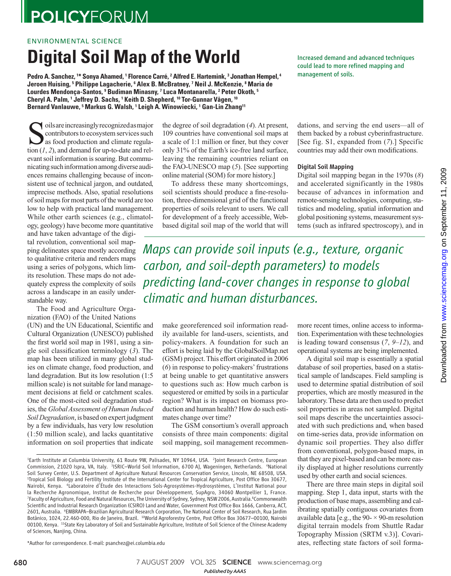## **POLICYFORUM**

## ENVIRONMENTAL SCIENCE

# **Digital Soil Map of the World**

**Pedro A. Sanchez, <sup>1</sup>\* Sonya Ahamed, <sup>1</sup> Florence Carré, <sup>2</sup> Alfred E. Hartemink, <sup>3</sup> Jonathan Hempel, <sup>4</sup> Jeroen Huising, <sup>5</sup> Philippe Lagacherie, <sup>6</sup> Alex B. McBratney, <sup>7</sup> Neil J. McKenzie, <sup>8</sup> Maria de Lourdes Mendonça-Santos, <sup>9</sup> Budiman Minasny, <sup>7</sup> Luca Montanarella, <sup>2</sup> Peter Okoth, <sup>5</sup> Cheryl A. Palm, <sup>1</sup> Jeffrey D. Sachs, <sup>1</sup> Keith D. Shepherd, <sup>10</sup> Tor-Gunnar Vågen, <sup>10</sup> Bernard Vanlauwe, <sup>5</sup> Markus G. Walsh, <sup>1</sup> Leigh A. Winowiecki, <sup>1</sup> Gan-Lin Zhang 1 1** 

 $\blacksquare$  oils are increasingly recognized as major contributors to ecosystem services such as food production and climate regulation  $(1, 2)$ , and demand for up-to-date and relevant soil information is soaring. But communicating such information among diverse audiences remains challenging because of inconsistent use of technical jargon, and outdated, imprecise methods. Also, spatial resolutions of soil maps for most parts of the world are too low to help with practical land management. While other earth sciences (e.g., climatology, geology) have become more quantitative

and have taken advantage of the digital revolution, conventional soil mapping delineates space mostly according to qualitative criteria and renders maps using a series of polygons, which limits resolution. These maps do not adequately express the complexity of soils across a landscape in an easily understandable way.

The Food and Agriculture Organization (FAO) of the United Nations (UN) and the UN Educational, Scientific and Cultural Organization (UNESCO) published the first world soil map in 1981, using a single soil classification terminology (3). The map has been utilized in many global studies on climate change, food production, and land degradation. But its low resolution (1:5 million scale) is not suitable for land management decisions at field or catchment scales. One of the most-cited soil degradation studies, the *Global Assessment of Human Induced Soil Degradation*, is based on expert judgment by a few individuals, has very low resolution (1:50 million scale), and lacks quantitative information on soil properties that indicate

the degree of soil degradation (4). At present, 109 countries have conventional soil maps at a scale of 1:1 million or finer, but they cover only 31% of the Earth's ice-free land surface, leaving the remaining countries reliant on the FAO-UNESCO map (5). [See supporting online material (SOM) for more history.]

To address these many shortcomings, soil scientists should produce a fine-resolution, three-dimensional grid of the functional properties of soils relevant to users. We call for development of a freely accessible, Webbased digital soil map of the world that will Increased demand and advanced techniques could lead to more refined mapping and management of soils.

dations, and serving the end users—all of them backed by a robust cyberinfrastructure. [See fig. S1, expanded from  $(7)$ .] Specific countries may add their own modifications.

### Digital Soil Mapping

Digital soil mapping began in the  $1970s$  ( $8$ ) and accelerated significantly in the 1980s because of advances in information and remote-sensing technologies, computing, statistics and modeling, spatial information and global positioning systems, measurement systems (such as infrared spectroscopy), and in

*Maps can provide soil inputs (e.g., texture, organic carbon, and soil-depth parameters) to models predicting land-cover changes in response to global climatic and human disturbances.*

make georeferenced soil information readily available for land-users, scientists, and policy-makers. A foundation for such an effort is being laid by the GlobalSoilMap.net (GSM) project. This effort originated in 2006 ( *6*) in response to policy-makers' frustrations at being unable to get quantitative answers to questions such as: How much carbon is sequestered or emitted by soils in a particular region? What is its impact on biomass production and human health? How do such estimates change over time?

The GSM consortium's overall approach consists of three main components: digital soil mapping, soil management recommen-

\*Author for correspondence. E-mail: psanchez@ei.columbia.edu

more recent times, online access to information. Experimentation with these technologies is leading toward consensus  $(7, 9-12)$ , and operational systems are being implemented.

A digital soil map is essentially a spatial database of soil properties, based on a statistical sample of landscapes. Field sampling is used to determine spatial distribution of soil properties, which are mostly measured in the laboratory. These data are then used to predict soil properties in areas not sampled. Digital soil maps describe the uncertainties associated with such predictions and, when based on time-series data, provide information on dynamic soil properties. They also differ from conventional, polygon-based maps, in that they are pixel-based and can be more easily displayed at higher resolutions currently used by other earth and social sciences.

There are three main steps in digital soil mapping. Step 1, data input, starts with the production of base maps, assembling and calibrating spatially contiguous covariates from available data [e.g., the  $90 - \times 90$ -m resolution digital terrain models from Shuttle Radar Topography Mission (SRTM v.3)]. Covariates, reflecting state factors of soil forma-

680 7 AUGUST 2009 VOL 325 SCIENCE www.sciencemag.org *Published byAAAS*

<sup>&</sup>lt;sup>1</sup>Earth Institute at Columbia University, 61 Route 9W, Palisades, NY 10964, USA. <sup>2</sup>Joint Research Centre, European Commission, 21020 Ispra, VA, Italy. 3ISRIC–World Soil Information, 6700 AJ, Wageningen, Netherlands. 4National Soil Survey Center, U.S. Department of Agriculture Natural Resources Conservation Service, Lincoln, NE 68508, USA. <sup>5</sup>Tropical Soil Biology and Fertility Institute of the International Center for Tropical Agriculture, Post Office Box 30677, Nairobi, Kenya. <sup>6</sup>Laboratoire d'Étude des Interactions Sols-Agrosystèmes-Hydrosystèmes, L'Institut National pour la Recherche Agronomique, Institut de Recherche pour Développement, SupAgro, 34060 Montpellier 1, France. <sup>7</sup>Faculty of Agriculture, Food and Natural Resources, The University of Sydney, Sydney, NSW 2006, Australia.<sup>8</sup>Commonwealth Scientific and Industrial Research Organization (CSIRO) Land and Water, Government Post Office Box 1666, Canberra, ACT, 2601, Australia. <sup>9</sup>EMBRAPA–Brazilian Agricultural Research Corporation, The National Center of Soil Research, Rua Jardim Botânico, 1024, 22.460-000, Rio de Janeiro, Brazil. <sup>10</sup>World Agroforestry Centre, Post Office Box 30677–00100, Nairobi 00100, Kenya. <sup>11</sup>State Key Laboratory of Soil and Sustainable Agriculture, Institute of Soil Science of the Chinese Academy of Sciences, Nanjing, China.